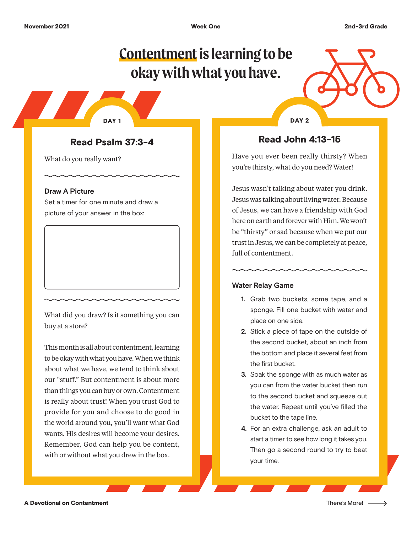# **Contentment is learning to be okay with what you have.**

Read Psalm 37:3-4

What do you really want?

#### **Draw A Picture**

Set a timer for one minute and draw a picture of your answer in the box:

What did you draw? Is it something you can buy at a store?

This month is all about contentment, learning to be okay with what you have. When we think about what we have, we tend to think about our "stuff." But contentment is about more than things you can buy or own. Contentment is really about trust! When you trust God to provide for you and choose to do good in the world around you, you'll want what God wants. His desires will become your desires. Remember, God can help you be content, with or without what you drew in the box.

DAY 1 DAY 2

## Read John 4:13-15

Have you ever been really thirsty? When you're thirsty, what do you need? Water!

Jesus wasn't talking about water you drink. Jesus was talking about living water. Because of Jesus, we can have a friendship with God here on earth and forever with Him. We won't be "thirsty" or sad because when we put our trust in Jesus, we can be completely at peace, full of contentment.

### **Water Relay Game**

- **1.** Grab two buckets, some tape, and a sponge. Fill one bucket with water and place on one side.
- **2.** Stick a piece of tape on the outside of the second bucket, about an inch from the bottom and place it several feet from the first bucket.
- **3.** Soak the sponge with as much water as you can from the water bucket then run to the second bucket and squeeze out the water. Repeat until you've filled the bucket to the tape line.
- **4.** For an extra challenge, ask an adult to start a timer to see how long it takes you. Then go a second round to try to beat your time.